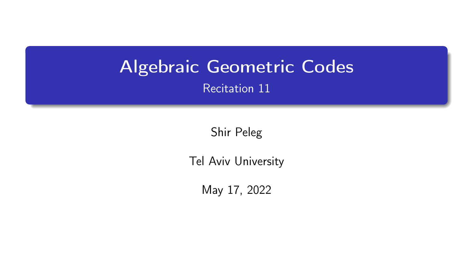# <span id="page-0-0"></span>Algebraic Geometric Codes Recitation 11

Shir Peleg

Tel Aviv University

May 17, 2022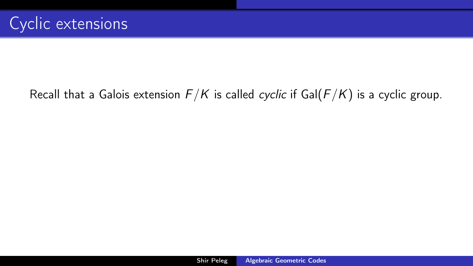## <span id="page-1-0"></span>Recall that a Galois extension  $F/K$  is called cyclic if Gal( $F/K$ ) is a cyclic group.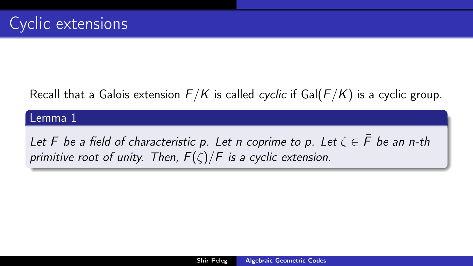## Recall that a Galois extension  $F/K$  is called cyclic if Gal( $F/K$ ) is a cyclic group.

#### Lemma 1

Let F be a field of characteristic p. Let n coprime to p. Let  $\zeta \in \overline{F}$  be an n-th primitive root of unity. Then,  $F(\zeta)/F$  is a cyclic extension.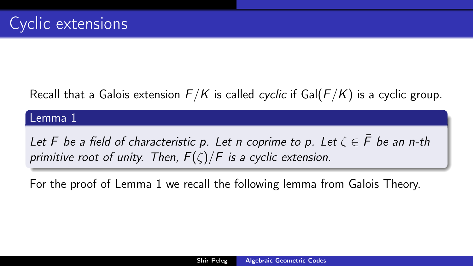## Recall that a Galois extension  $F/K$  is called cyclic if Gal( $F/K$ ) is a cyclic group.

#### Lemma 1

Let F be a field of characteristic p. Let n coprime to p. Let  $\zeta \in \overline{F}$  be an n-th primitive root of unity. Then,  $F(\zeta)/F$  is a cyclic extension.

For the proof of Lemma [1](#page-1-0) we recall the following lemma from Galois Theory.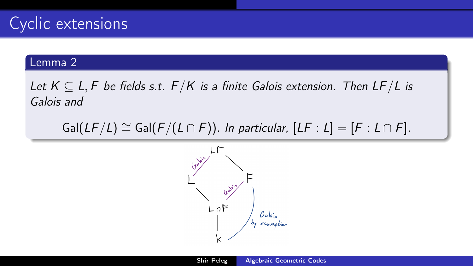<span id="page-4-0"></span>Let  $K \subseteq L, F$  be fields s.t.  $F/K$  is a finite Galois extension. Then  $LF/L$  is Galois and

 $Gal(LF/L) \cong Gal(F/(L \cap F))$ . In particular,  $[LF : L] = [F : L \cap F]$ .

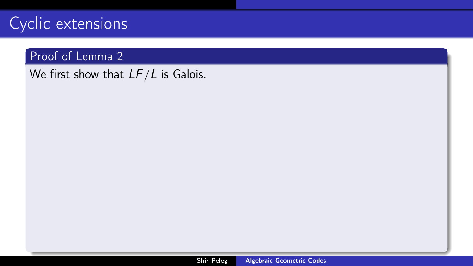### Proof of Lemma [2](#page-4-0)

We first show that  $LF/L$  is Galois.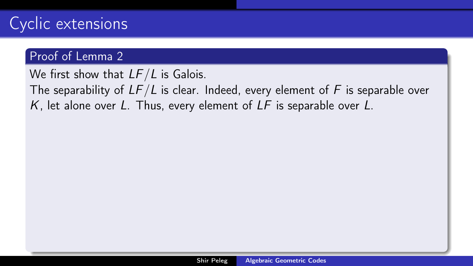### Proof of Lemma [2](#page-4-0)

We first show that  $LF/L$  is Galois.

The separability of  $LF/L$  is clear. Indeed, every element of F is separable over  $K$ , let alone over L. Thus, every element of  $LF$  is separable over L.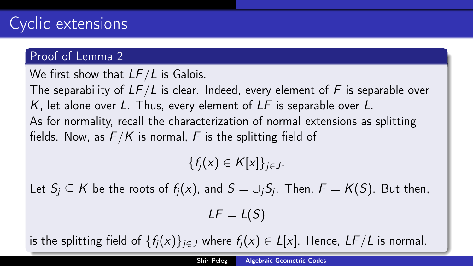We first show that  $LF/L$  is Galois.

The separability of  $LF/L$  is clear. Indeed, every element of F is separable over K, let alone over L. Thus, every element of  $LF$  is separable over L. As for normality, recall the characterization of normal extensions as splitting fields. Now, as  $F/K$  is normal, F is the splitting field of

 ${f_i(x) \in K[x]}_{i \in I}$ .

Let  $S_j\subseteq \mathsf{K}$  be the roots of  $f_j(x)$ , and  $\mathsf{S}=\cup_j S_j.$  Then,  $\mathsf{F}=\mathsf{K}(\mathsf{S}).$  But then,  $LF = L(S)$ 

is the splitting field of  $\{f_i(x)\}_{i\in J}$  where  $f_i(x) \in L[x]$ . Hence,  $LF/L$  is normal.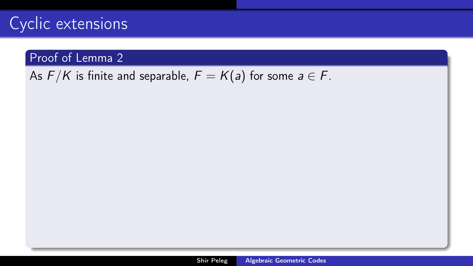### Proof of Lemma [2](#page-4-0)

<span id="page-8-0"></span>As  $F/K$  is finite and separable,  $F = K(a)$  for some  $a \in F$ .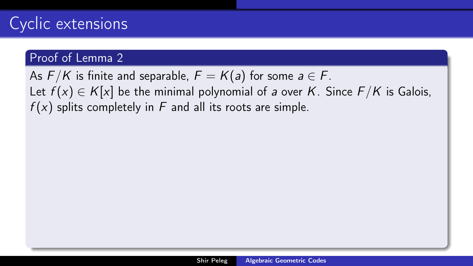### Proof of Lemma [2](#page-4-0)

As  $F/K$  is finite and separable,  $F = K(a)$  for some  $a \in F$ . Let  $f(x) \in K[x]$  be the minimal polynomial of a over K. Since  $F/K$  is Galois,  $f(x)$  splits completely in F and all its roots are simple.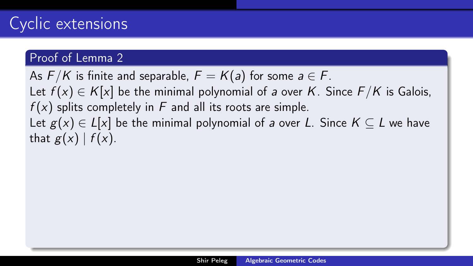### Proof of Lemma [2](#page-4-0)

As  $F/K$  is finite and separable,  $F = K(a)$  for some  $a \in F$ . Let  $f(x) \in K[x]$  be the minimal polynomial of a over K. Since  $F/K$  is Galois,  $f(x)$  splits completely in F and all its roots are simple. Let  $g(x) \in L[x]$  be the minimal polynomial of a over L. Since  $K \subseteq L$  we have that  $g(x)$  |  $f(x)$ .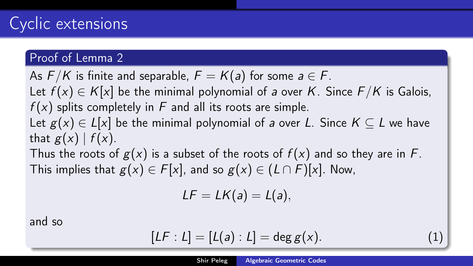### Proof of Lemma [2](#page-4-0)

As  $F/K$  is finite and separable,  $F = K(a)$  for some  $a \in F$ .

Let  $f(x) \in K[x]$  be the minimal polynomial of a over K. Since  $F/K$  is Galois,  $f(x)$  splits completely in F and all its roots are simple.

Let  $g(x) \in L[x]$  be the minimal polynomial of a over L. Since  $K \subseteq L$  we have that  $g(x)$  |  $f(x)$ .

Thus the roots of  $g(x)$  is a subset of the roots of  $f(x)$  and so they are in F. This implies that  $g(x) \in F[x]$ , and so  $g(x) \in (L \cap F)[x]$ . Now,

$$
LF = LK(a) = L(a),
$$

and so

$$
[LF:L] = [L(a):L] = \deg g(x). \tag{1}
$$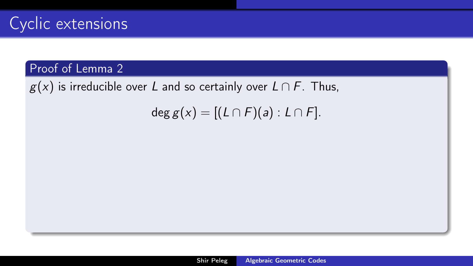$g(x)$  is irreducible over L and so certainly over  $L \cap F$ . Thus,

deg  $g(x) = [(L \cap F)(a) : L \cap F]$ .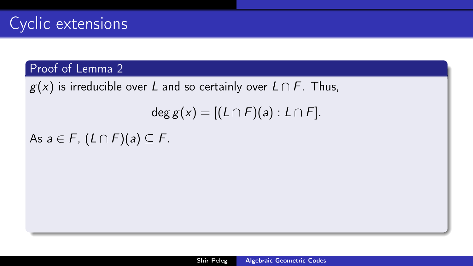$g(x)$  is irreducible over L and so certainly over  $L \cap F$ . Thus,

$$
\deg g(x) = [(L \cap F)(a) : L \cap F].
$$

As  $a \in F$ ,  $(L \cap F)(a) \subseteq F$ .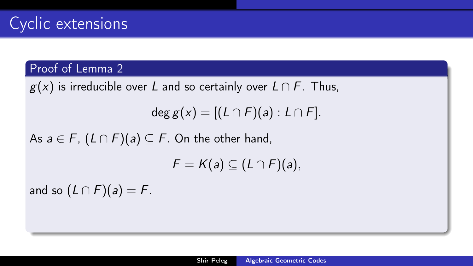### Proof of Lemma [2](#page-4-0)

 $g(x)$  is irreducible over L and so certainly over  $L \cap F$ . Thus,

deg  $g(x) = [(L \cap F)(a) : L \cap F]$ .

As  $a \in F$ ,  $(L \cap F)(a) \subseteq F$ . On the other hand,

 $F = K(a) \subset (L \cap F)(a),$ 

and so  $(L \cap F)(a) = F$ .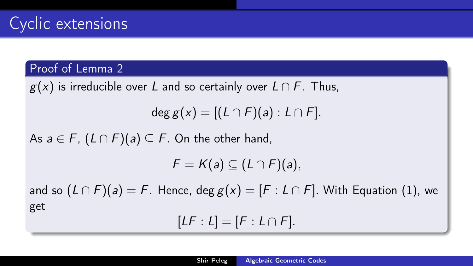### Proof of Lemma [2](#page-4-0)

 $g(x)$  is irreducible over L and so certainly over  $L \cap F$ . Thus,

deg  $g(x) = [(L \cap F)(a) : L \cap F]$ .

As  $a \in F$ ,  $(L \cap F)(a) \subseteq F$ . On the other hand,

 $F = K(a) \subset (L \cap F)(a),$ 

and so  $(L \cap F)(a) = F$ . Hence, deg  $g(x) = [F : L \cap F]$ . With Equation [\(1\)](#page-8-0), we get

 $[LF : L] = [F : L \cap F].$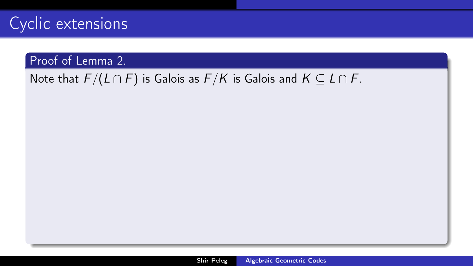### Proof of Lemma [2.](#page-4-0)

## Note that  $F/(L \cap F)$  is Galois as  $F/K$  is Galois and  $K \subseteq L \cap F$ .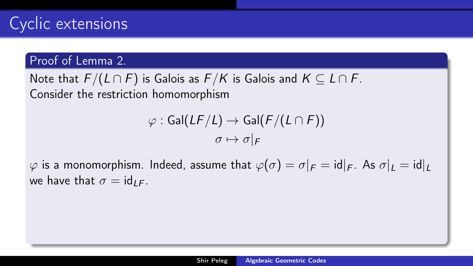### Proof of Lemma [2.](#page-4-0)

Note that  $F/(L \cap F)$  is Galois as  $F/K$  is Galois and  $K \subseteq L \cap F$ . Consider the restriction homomorphism

$$
\varphi : \text{Gal}(LF/L) \to \text{Gal}(F/(L \cap F))
$$

$$
\sigma \mapsto \sigma|_F
$$

 $\varphi$  is a monomorphism. Indeed, assume that  $\varphi(\sigma) = \sigma|_F = id|_F$ . As  $\sigma|_L = id|_L$ we have that  $\sigma = id_{LE}$ .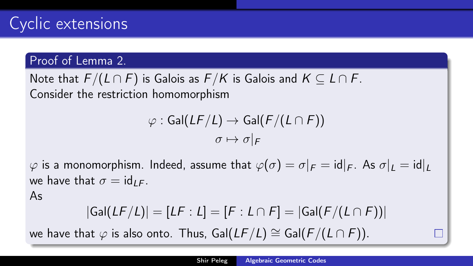### Proof of Lemma [2.](#page-4-0)

Note that  $F/(L \cap F)$  is Galois as  $F/K$  is Galois and  $K \subseteq L \cap F$ . Consider the restriction homomorphism

$$
\varphi : \text{Gal}(LF/L) \to \text{Gal}(F/(L \cap F))
$$

$$
\sigma \mapsto \sigma|_F
$$

 $\varphi$  is a monomorphism. Indeed, assume that  $\varphi(\sigma) = \sigma|_F = id|_F$ . As  $\sigma|_L = id|_L$ we have that  $\sigma = id_{LE}$ .

As

$$
|\mathsf{Gal}(LF/L)| = [LF:L] = [F:L \cap F] = |\mathsf{Gal}(F/(L \cap F))|
$$

we have that  $\varphi$  is also onto. Thus, Gal( $LF/L$ ) ≅ Gal( $F/(L \cap F)$ ).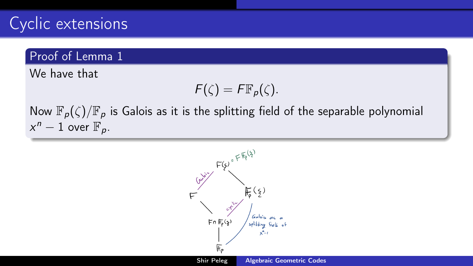### Proof of Lemma [1](#page-1-0)

We have that

$$
F(\zeta)=F\mathbb{F}_p(\zeta).
$$

Now  $\mathbb{F}_p(\zeta)/\mathbb{F}_p$  is Galois as it is the splitting field of the separable polynomial  $x^n-1$  over  $\mathbb{F}_p$ .

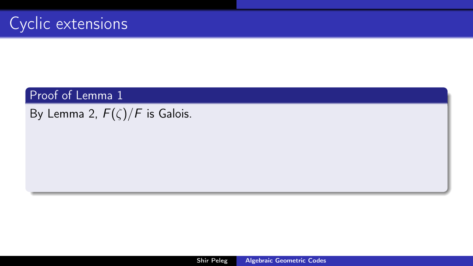By Lemma [2,](#page-4-0)  $F(\zeta)/F$  is Galois.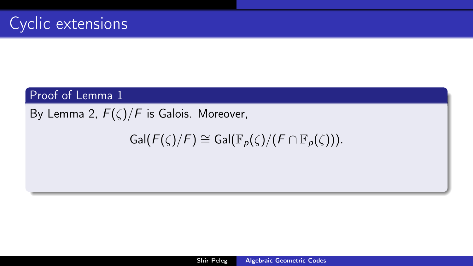By Lemma [2,](#page-4-0)  $F(\zeta)/F$  is Galois. Moreover,

 $Gal(F(\zeta)/F) \cong Gal(\mathbb{F}_{p}(\zeta)/(F \cap \mathbb{F}_{p}(\zeta))).$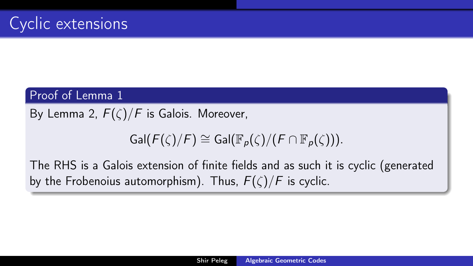By Lemma [2,](#page-4-0)  $F(\zeta)/F$  is Galois. Moreover,

## $Gal(F(\zeta)/F) \cong Gal(\mathbb{F}_{p}(\zeta)/(F \cap \mathbb{F}_{p}(\zeta)))$ .

The RHS is a Galois extension of finite fields and as such it is cyclic (generated by the Frobenoius automorphism). Thus,  $F(\zeta)/F$  is cyclic.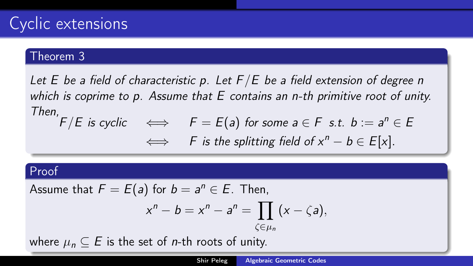#### Theorem 3

Let E be a field of characteristic p. Let  $F/E$  be a field extension of degree n which is coprime to p. Assume that E contains an n-th primitive root of unity. Then,  $F/E$  is cyclic  $\iff$   $F = E(a)$  for some  $a \in F$  s.t.  $b := a^n \in E$  $\iff$  F is the splitting field of  $x^n - b \in E[x]$ .

#### Proof

Assume that 
$$
F = E(a)
$$
 for  $b = a^n \in E$ . Then,

$$
x^{n}-b=x^{n}-a^{n}=\prod_{\zeta\in\mu_{n}}(x-\zeta a),
$$

where  $\mu_n \subseteq E$  is the set of *n*-th roots of unity.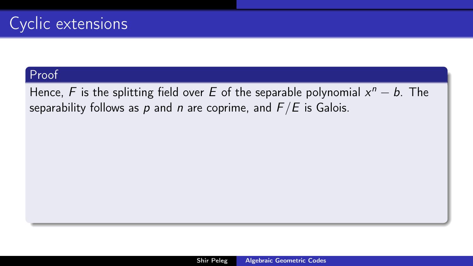Hence, F is the splitting field over E of the separable polynomial  $x^n - b$ . The separability follows as p and n are coprime, and  $F/E$  is Galois.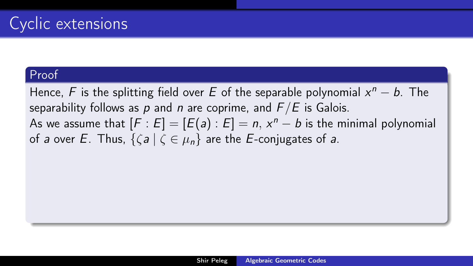Hence, F is the splitting field over E of the separable polynomial  $x^n - b$ . The separability follows as p and n are coprime, and  $F/E$  is Galois. As we assume that  $[F:E] = [E(a) : E] = n$ ,  $x^n - b$  is the minimal polynomial of a over E. Thus,  $\{ \zeta a \mid \zeta \in \mu_n \}$  are the E-conjugates of a.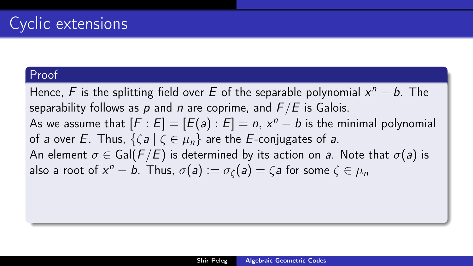Hence, F is the splitting field over E of the separable polynomial  $x^n - b$ . The separability follows as p and n are coprime, and  $F/E$  is Galois. As we assume that  $[F:E] = [E(a) : E] = n$ ,  $x^n - b$  is the minimal polynomial of a over E. Thus,  $\{ \zeta a \mid \zeta \in \mu_n \}$  are the E-conjugates of a. An element  $\sigma \in \text{Gal}(F/E)$  is determined by its action on a. Note that  $\sigma(a)$  is also a root of  $x^n - b$ . Thus,  $\sigma(a) := \sigma_{\zeta}(a) = \zeta$ a for some  $\zeta \in \mu_n$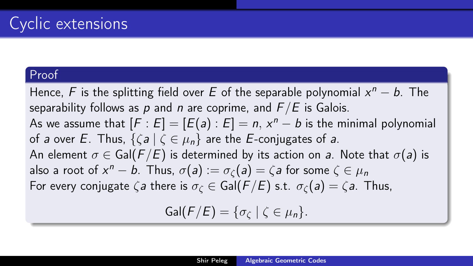Hence, F is the splitting field over E of the separable polynomial  $x^n - b$ . The separability follows as p and n are coprime, and  $F/E$  is Galois. As we assume that  $[F:E] = [E(a) : E] = n$ ,  $x^n - b$  is the minimal polynomial of a over E. Thus,  $\{ \zeta a \mid \zeta \in \mu_n \}$  are the E-conjugates of a. An element  $\sigma \in \text{Gal}(F/E)$  is determined by its action on a. Note that  $\sigma(a)$  is also a root of  $x^n - b$ . Thus,  $\sigma(a) := \sigma_{\zeta}(a) = \zeta$ a for some  $\zeta \in \mu_n$ For every conjugate  $\zeta a$  there is  $\sigma_{\zeta} \in \text{Gal}(F/E)$  s.t.  $\sigma_{\zeta}(a) = \zeta a$ . Thus,  $Gal(F/E) = {\sigma_{\mathcal{C}}} | \zeta \in \mu_n$ .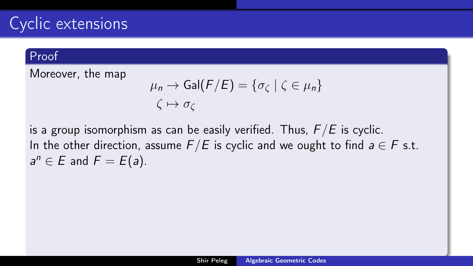#### Proof

Moreover, the map

$$
\mu_n \to \text{Gal}(F/E) = \{\sigma_{\zeta} \mid \zeta \in \mu_n\}
$$

$$
\zeta \mapsto \sigma_{\zeta}
$$

is a group isomorphism as can be easily verified. Thus,  $F/E$  is cyclic. In the other direction, assume  $F/E$  is cyclic and we ought to find  $a \in F$  s.t.  $a^n \in E$  and  $F = E(a)$ .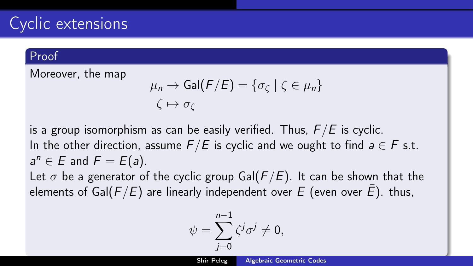#### Proof

Moreover, the map

$$
\mu_n \to \text{Gal}(F/E) = \{\sigma_{\zeta} \mid \zeta \in \mu_n\}
$$

$$
\zeta \mapsto \sigma_{\zeta}
$$

is a group isomorphism as can be easily verified. Thus,  $F/E$  is cyclic. In the other direction, assume  $F/E$  is cyclic and we ought to find  $a \in F$  s.t.  $a^n \in E$  and  $F = E(a)$ .

Let  $\sigma$  be a generator of the cyclic group Gal( $F/E$ ). It can be shown that the elements of Gal( $F/E$ ) are linearly independent over E (even over  $\bar{E}$ ). thus,

$$
\psi = \sum_{j=0}^{n-1} \zeta^j \sigma^j \neq 0,
$$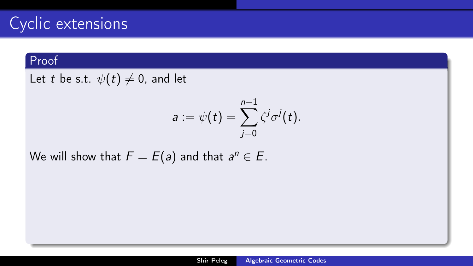#### Proof

Let t be s.t.  $\psi(t) \neq 0$ , and let

$$
a:=\psi(t)=\sum_{j=0}^{n-1}\zeta^j\sigma^j(t).
$$

We will show that  $F=E(a)$  and that  $a^n\in E.$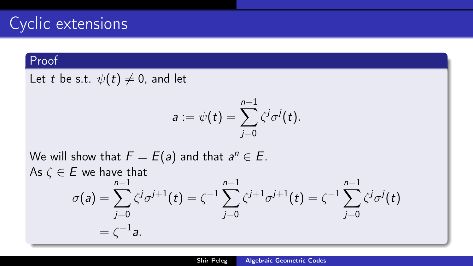### Proof

Let t be s.t.  $\psi(t) \neq 0$ , and let

$$
a:=\psi(t)=\sum_{j=0}^{n-1}\zeta^j\sigma^j(t).
$$

We will show that  $F=E(a)$  and that  $a^n\in E.$ As  $\zeta \in E$  we have that  $\sigma(a) = \sum^{n-1}$  $j=0$  $\zeta^j\sigma^{j+1}(t)=\zeta^{-1}\sum^{n-1}$  $j=0$  $\zeta^{j+1}\sigma^{j+1}(t)=\zeta^{-1}\sum_{n=1}^{n-1}$  $j=0$  $\zeta^j\sigma^j(t)$  $=\zeta^{-1}$ a.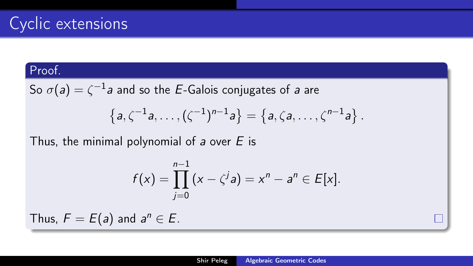So  $\sigma(\mathsf{a})=\zeta^{-1}\mathsf{a}$  and so the  $E$ -Galois conjugates of  $\mathsf{a}$  are

$$
\left\{a,\zeta^{-1}a,\ldots,(\zeta^{-1})^{n-1}a\right\}=\left\{a,\zeta a,\ldots,\zeta^{n-1}a\right\}.
$$

Thus, the minimal polynomial of a over  $E$  is

$$
f(x) = \prod_{j=0}^{n-1} (x - \zeta^{j} a) = x^{n} - a^{n} \in E[x].
$$

Thus,  $F = E(a)$  and  $a^n \in E$ .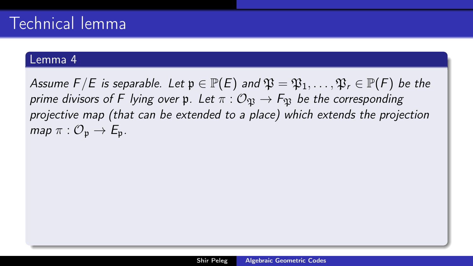Assume  $F/E$  is separable. Let  $\mathfrak{p} \in \mathbb{P}(E)$  and  $\mathfrak{P} = \mathfrak{P}_1, \ldots, \mathfrak{P}_r \in \mathbb{P}(F)$  be the prime divisors of F lying over p. Let  $\pi : \mathcal{O}_{\mathfrak{N}} \to F_{\mathfrak{N}}$  be the corresponding projective map (that can be extended to a place) which extends the projection map  $\pi: \mathcal{O}_{p} \to E_{p}$ .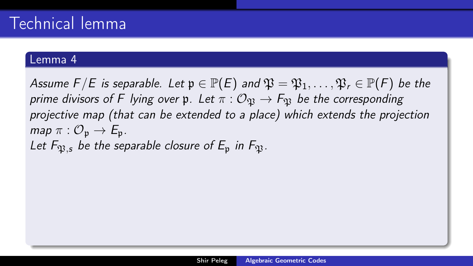Assume  $F/E$  is separable. Let  $\mathfrak{p} \in \mathbb{P}(E)$  and  $\mathfrak{P} = \mathfrak{P}_1, \ldots, \mathfrak{P}_r \in \mathbb{P}(F)$  be the prime divisors of F lying over p. Let  $\pi : \mathcal{O}_{\mathfrak{N}} \to F_{\mathfrak{N}}$  be the corresponding projective map (that can be extended to a place) which extends the projection map  $\pi: \mathcal{O}_n \to \mathcal{E}_n$ . Let  $F_{\mathfrak{B},s}$  be the separable closure of  $E_{\mathfrak{p}}$  in  $F_{\mathfrak{B}}$ .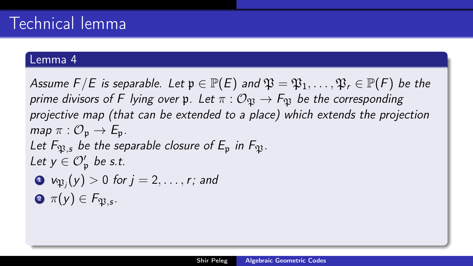Assume  $F/E$  is separable. Let  $\mathfrak{p} \in \mathbb{P}(E)$  and  $\mathfrak{P} = \mathfrak{P}_1, \ldots, \mathfrak{P}_r \in \mathbb{P}(F)$  be the prime divisors of F lying over p. Let  $\pi: \mathcal{O}_m \to F_m$  be the corresponding projective map (that can be extended to a place) which extends the projection map  $\pi: \mathcal{O}_n \to \mathcal{E}_n$ . Let  $F_{\mathfrak{B},s}$  be the separable closure of  $E_{\mathfrak{p}}$  in  $F_{\mathfrak{B}}$ . Let  $y \in \mathcal{O}'_{\mathfrak{p}}$  be s.t.  $\mathbf{D}$   $\mathbf{\nu}_{\mathfrak{P}_j}(y)>0$  for  $j=2,\ldots,r;$  and

 $\bm{\pi}(y) \in F_{\mathfrak{P},\bm{s}}.$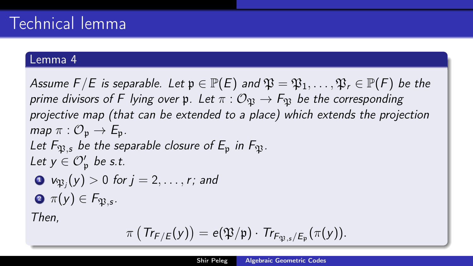Assume  $F/E$  is separable. Let  $\mathfrak{p} \in \mathbb{P}(E)$  and  $\mathfrak{P} = \mathfrak{P}_1, \ldots, \mathfrak{P}_r \in \mathbb{P}(F)$  be the prime divisors of F lying over p. Let  $\pi: \mathcal{O}_m \to F_m$  be the corresponding projective map (that can be extended to a place) which extends the projection map  $\pi: \mathcal{O}_n \to \mathcal{E}_n$ . Let  $F_{\mathfrak{B},s}$  be the separable closure of  $E_{\mathfrak{p}}$  in  $F_{\mathfrak{B}}$ . Let  $y \in \mathcal{O}'_{\mathfrak{p}}$  be s.t.  $\mathbf{D}$   $\mathbf{\nu}_{\mathfrak{P}_j}(y)>0$  for  $j=2,\ldots,r;$  and  $\bm{\pi}(y) \in F_{\mathfrak{P},\bm{s}}.$ Then,  $\pi\left(\,Tr_{\mathsf{F}/\mathsf{E}}(y)\right)=e(\mathfrak{P}/\mathfrak{p})\cdot\,Tr_{\mathsf{F}_{\mathfrak{P},s}/\mathsf{E}_{\mathfrak{p}}}(\pi(y)).$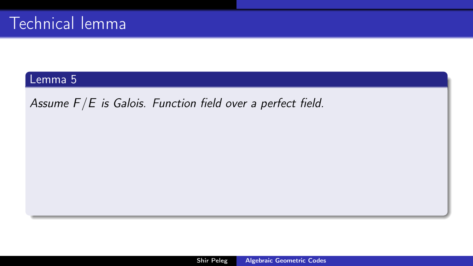<span id="page-37-0"></span>Assume  $F/E$  is Galois. Function field over a perfect field.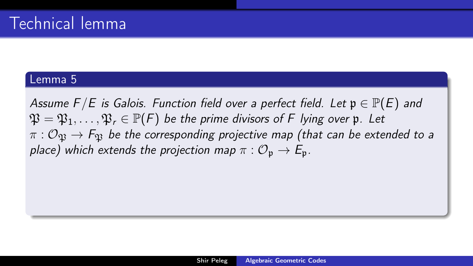Assume F/E is Galois. Function field over a perfect field. Let  $\mathfrak{p} \in \mathbb{P}(E)$  and  $\mathfrak{P} = \mathfrak{P}_1, \ldots, \mathfrak{P}_r \in \mathbb{P}(F)$  be the prime divisors of F lying over p. Let  $\pi$  :  $\mathcal{O}_{\mathfrak{B}} \to F_{\mathfrak{B}}$  be the corresponding projective map (that can be extended to a place) which extends the projection map  $\pi : \mathcal{O}_p \to \mathcal{E}_p$ .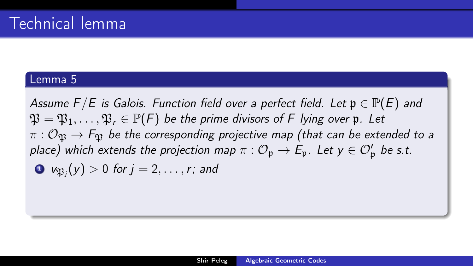Assume F/E is Galois. Function field over a perfect field. Let  $\mathfrak{p} \in \mathbb{P}(E)$  and  $\mathfrak{P} = \mathfrak{P}_1, \ldots, \mathfrak{P}_r \in \mathbb{P}(F)$  be the prime divisors of F lying over p. Let  $\pi$  :  $\mathcal{O}_{\mathfrak{B}} \to F_{\mathfrak{B}}$  be the corresponding projective map (that can be extended to a place) which extends the projection map  $\pi: \mathcal{O}_{\mathfrak{p}} \to \mathsf{E}_{\mathfrak{p}}.$  Let  $\mathsf{y} \in \mathcal{O}'_\mathfrak{p}$  be s.t.  $\textbf{1} \;\; \mathsf{v}_{\mathfrak{P}_j}(\mathsf{y}) > 0 \;\text{for} \; j = 2, \ldots, r; \text{ and}$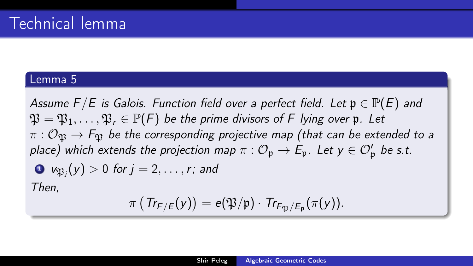Assume F/E is Galois. Function field over a perfect field. Let  $\mathfrak{p} \in \mathbb{P}(E)$  and  $\mathfrak{P} = \mathfrak{P}_1, \ldots, \mathfrak{P}_r \in \mathbb{P}(F)$  be the prime divisors of F lying over p. Let  $\pi$  :  $\mathcal{O}_{\mathfrak{B}} \to F_{\mathfrak{B}}$  be the corresponding projective map (that can be extended to a place) which extends the projection map  $\pi: \mathcal{O}_{\mathfrak{p}} \to \mathsf{E}_{\mathfrak{p}}.$  Let  $\mathsf{y} \in \mathcal{O}'_\mathfrak{p}$  be s.t.  $\textbf{1} \;\; \mathsf{v}_{\mathfrak{P}_j}(\mathsf{y}) > 0 \;\text{for} \; j = 2, \ldots, r; \text{ and}$ Then,

$$
\pi\left(\mathsf{Tr}_{\mathsf{F}/\mathsf{E}}(y)\right)=\mathsf{e}(\mathfrak{P}/\mathfrak{p})\cdot\mathsf{Tr}_{\mathsf{F}_{\mathfrak{P}}/\mathsf{E}_{\mathfrak{p}}}(\pi(y)).
$$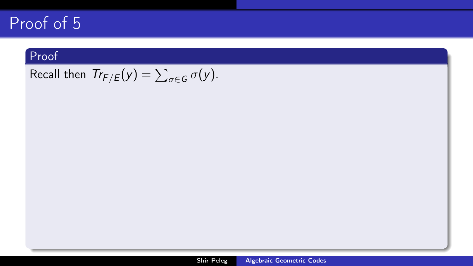#### Proof

Recall then  $\mathcal{T}r_{F/E}(y) = \sum_{\sigma \in \mathcal{G}} \sigma(y)$ .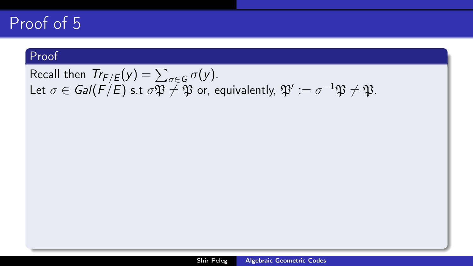#### Proof

Recall then  $Tr_{F/E}(y) = \sum_{\sigma \in G} \sigma(y)$ . Let  $\sigma\in\mathsf{Gal}(F/E)$  s.t  $\sigma\mathfrak{P}\neq\mathfrak{P}$  or, equivalently,  $\mathfrak{P}' := \sigma^{-1}\mathfrak{P}\neq\mathfrak{P}.$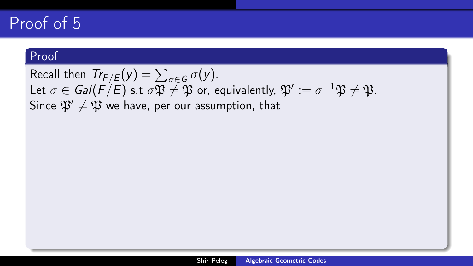#### Proof

Recall then  $Tr_{F/E}(y) = \sum_{\sigma \in G} \sigma(y)$ . Let  $\sigma\in\mathsf{Gal}(F/E)$  s.t  $\sigma\mathfrak{P}\neq\mathfrak{P}$  or, equivalently,  $\mathfrak{P}' := \sigma^{-1}\mathfrak{P}\neq\mathfrak{P}.$ Since  $\mathfrak{P}' \neq \mathfrak{P}$  we have, per our assumption, that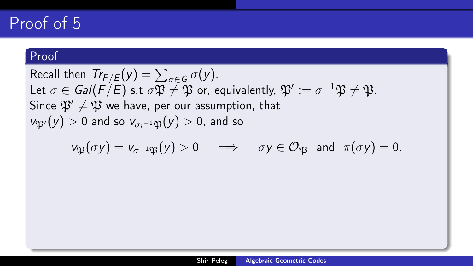#### Proof

Recall then  $Tr_{F/E}(y) = \sum_{\sigma \in G} \sigma(y)$ . Let  $\sigma\in\mathsf{Gal}(F/E)$  s.t  $\sigma\mathfrak{P}\neq\mathfrak{P}$  or, equivalently,  $\mathfrak{P}' := \sigma^{-1}\mathfrak{P}\neq\mathfrak{P}.$ Since  $\mathfrak{P}' \neq \mathfrak{P}$  we have, per our assumption, that  $v_{\mathfrak{P}'}(y)>0$  and so  $v_{\sigma_i^{-1}\mathfrak{P}}(y)>0$ , and so

$$
\nu_{\mathfrak{P}}(\sigma y) = \nu_{\sigma^{-1}\mathfrak{P}}(y) > 0 \quad \Longrightarrow \quad \sigma y \in \mathcal{O}_{\mathfrak{P}} \text{ and } \pi(\sigma y) = 0.
$$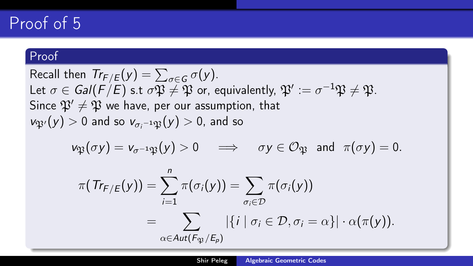#### Proof

Recall then  $Tr_{F/E}(y) = \sum_{\sigma \in G} \sigma(y)$ . Let  $\sigma\in\mathsf{Gal}(F/E)$  s.t  $\sigma\mathfrak{P}\neq\mathfrak{P}$  or, equivalently,  $\mathfrak{P}' := \sigma^{-1}\mathfrak{P}\neq\mathfrak{P}.$ Since  $\mathfrak{P}' \neq \mathfrak{P}$  we have, per our assumption, that  $v_{\mathfrak{P}'}(y)>0$  and so  $v_{\sigma_i^{-1}\mathfrak{P}}(y)>0$ , and so

$$
\nu_{\mathfrak{P}}(\sigma y) = \nu_{\sigma^{-1}\mathfrak{P}}(y) > 0 \quad \Longrightarrow \quad \sigma y \in \mathcal{O}_{\mathfrak{P}} \text{ and } \pi(\sigma y) = 0.
$$

$$
\pi(\mathit{Tr}_{F/E}(y)) = \sum_{i=1}^{n} \pi(\sigma_i(y)) = \sum_{\sigma_i \in \mathcal{D}} \pi(\sigma_i(y))
$$
  
= 
$$
\sum_{\alpha \in Aut(F_{\mathfrak{P}}/E_p)} |\{i \mid \sigma_i \in \mathcal{D}, \sigma_i = \alpha\}| \cdot \alpha(\pi(y)).
$$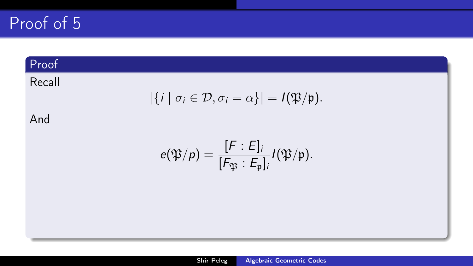### Proof

## Recall

$$
|\{i \mid \sigma_i \in \mathcal{D}, \sigma_i = \alpha\}| = I(\mathfrak{P}/\mathfrak{p}).
$$

### And

$$
e(\mathfrak{P}/p) = \frac{[F:E]_i}{[F_{\mathfrak{P}}:E_{\mathfrak{p}}]_i} I(\mathfrak{P}/\mathfrak{p}).
$$